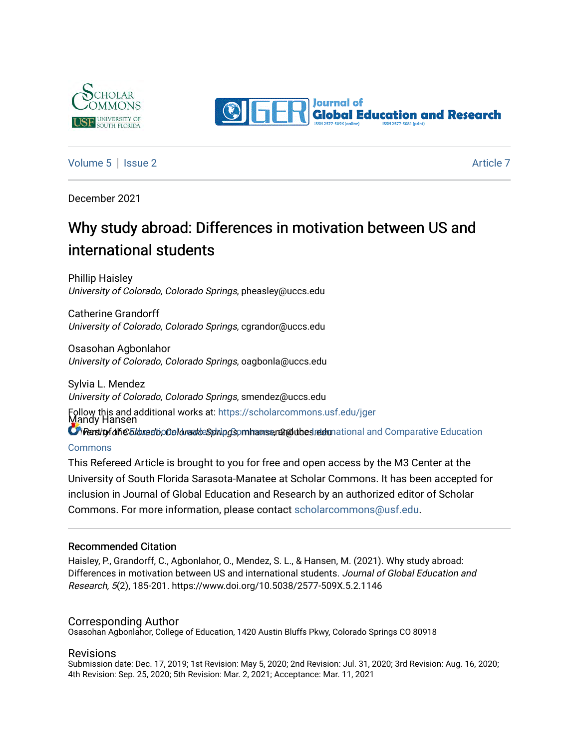



#### [Volume 5](https://scholarcommons.usf.edu/jger/vol5) | [Issue 2](https://scholarcommons.usf.edu/jger/vol5/iss2) Article 7

December 2021

## Why study abroad: Differences in motivation between US and international students

Phillip Haisley University of Colorado, Colorado Springs, pheasley@uccs.edu

Catherine Grandorff University of Colorado, Colorado Springs, cgrandor@uccs.edu

Osasohan Agbonlahor University of Colorado, Colorado Springs, oagbonla@uccs.edu

Sylvia L. Mendez University of Colorado, Colorado Springs, smendez@uccs.edu

Follow this and additional works at: https://scholarcommons.usf.edu/jger<br>Mandy Hansen

**Diversity of Colorado, Colorado Springs, mhansen and the [International and Comparative Education](http://network.bepress.com/hgg/discipline/797?utm_source=scholarcommons.usf.edu%2Fjger%2Fvol5%2Fiss2%2F7&utm_medium=PDF&utm_campaign=PDFCoverPages) [Commons](http://network.bepress.com/hgg/discipline/797?utm_source=scholarcommons.usf.edu%2Fjger%2Fvol5%2Fiss2%2F7&utm_medium=PDF&utm_campaign=PDFCoverPages)** 

This Refereed Article is brought to you for free and open access by the M3 Center at the University of South Florida Sarasota-Manatee at Scholar Commons. It has been accepted for inclusion in Journal of Global Education and Research by an authorized editor of Scholar Commons. For more information, please contact [scholarcommons@usf.edu](mailto:scholarcommons@usf.edu).

#### Recommended Citation

Haisley, P., Grandorff, C., Agbonlahor, O., Mendez, S. L., & Hansen, M. (2021). Why study abroad: Differences in motivation between US and international students. Journal of Global Education and Research, 5(2), 185-201. https://www.doi.org/10.5038/2577-509X.5.2.1146

#### Corresponding Author

Osasohan Agbonlahor, College of Education, 1420 Austin Bluffs Pkwy, Colorado Springs CO 80918

#### Revisions

Submission date: Dec. 17, 2019; 1st Revision: May 5, 2020; 2nd Revision: Jul. 31, 2020; 3rd Revision: Aug. 16, 2020; 4th Revision: Sep. 25, 2020; 5th Revision: Mar. 2, 2021; Acceptance: Mar. 11, 2021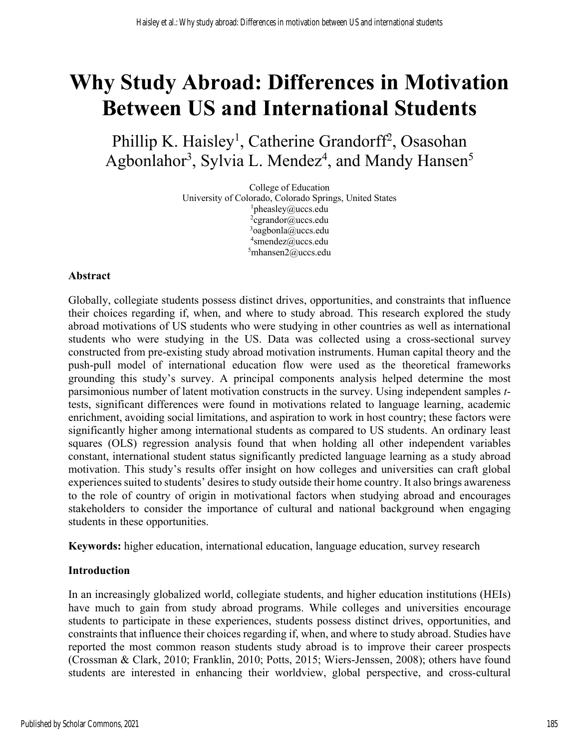# **Why Study Abroad: Differences in Motivation Between US and International Students**

Phillip K. Haisley<sup>1</sup>, Catherine Grandorff<sup>2</sup>, Osasohan Agbonlahor<sup>3</sup>, Sylvia L. Mendez<sup>4</sup>, and Mandy Hansen<sup>5</sup>

> College of Education University of Colorado, Colorado Springs, United States 1 pheasley@uccs.edu <sup>2</sup>cgrandor@uccs.edu 3 oagbonla@uccs.edu <sup>4</sup>smendez@uccs.edu 5 mhansen2@uccs.edu

#### **Abstract**

Globally, collegiate students possess distinct drives, opportunities, and constraints that influence their choices regarding if, when, and where to study abroad. This research explored the study abroad motivations of US students who were studying in other countries as well as international students who were studying in the US. Data was collected using a cross-sectional survey constructed from pre-existing study abroad motivation instruments. Human capital theory and the push-pull model of international education flow were used as the theoretical frameworks grounding this study's survey. A principal components analysis helped determine the most parsimonious number of latent motivation constructs in the survey. Using independent samples *t*tests, significant differences were found in motivations related to language learning, academic enrichment, avoiding social limitations, and aspiration to work in host country; these factors were significantly higher among international students as compared to US students. An ordinary least squares (OLS) regression analysis found that when holding all other independent variables constant, international student status significantly predicted language learning as a study abroad motivation. This study's results offer insight on how colleges and universities can craft global experiences suited to students' desires to study outside their home country. It also brings awareness to the role of country of origin in motivational factors when studying abroad and encourages stakeholders to consider the importance of cultural and national background when engaging students in these opportunities.

**Keywords:** higher education, international education, language education, survey research

#### **Introduction**

In an increasingly globalized world, collegiate students, and higher education institutions (HEIs) have much to gain from study abroad programs. While colleges and universities encourage students to participate in these experiences, students possess distinct drives, opportunities, and constraints that influence their choices regarding if, when, and where to study abroad. Studies have reported the most common reason students study abroad is to improve their career prospects (Crossman & Clark, 2010; Franklin, 2010; Potts, 2015; Wiers-Jenssen, 2008); others have found students are interested in enhancing their worldview, global perspective, and cross-cultural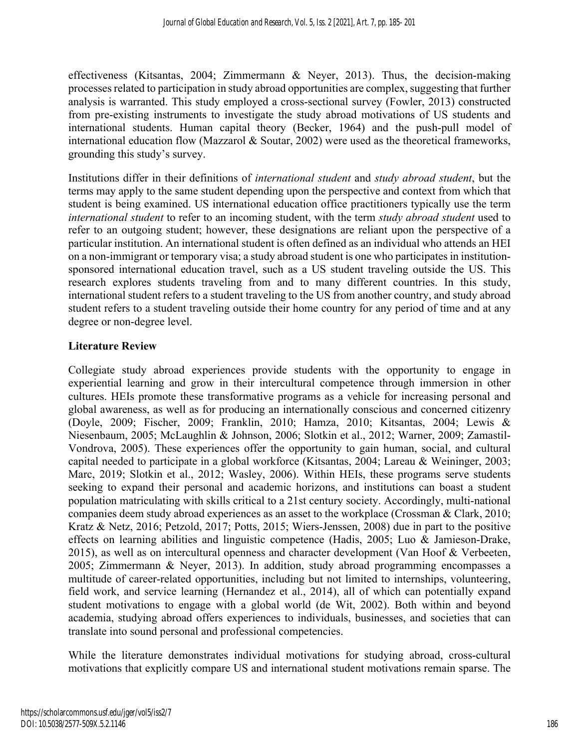effectiveness (Kitsantas, 2004; Zimmermann & Neyer, 2013). Thus, the decision-making processes related to participation in study abroad opportunities are complex, suggesting that further analysis is warranted. This study employed a cross-sectional survey (Fowler, 2013) constructed from pre-existing instruments to investigate the study abroad motivations of US students and international students. Human capital theory (Becker, 1964) and the push-pull model of international education flow (Mazzarol & Soutar, 2002) were used as the theoretical frameworks, grounding this study's survey.

Institutions differ in their definitions of *international student* and *study abroad student*, but the terms may apply to the same student depending upon the perspective and context from which that student is being examined. US international education office practitioners typically use the term *international student* to refer to an incoming student, with the term *study abroad student* used to refer to an outgoing student; however, these designations are reliant upon the perspective of a particular institution. An international student is often defined as an individual who attends an HEI on a non-immigrant or temporary visa; a study abroad student is one who participates in institutionsponsored international education travel, such as a US student traveling outside the US. This research explores students traveling from and to many different countries. In this study, international student refers to a student traveling to the US from another country, and study abroad student refers to a student traveling outside their home country for any period of time and at any degree or non-degree level.

#### **Literature Review**

Collegiate study abroad experiences provide students with the opportunity to engage in experiential learning and grow in their intercultural competence through immersion in other cultures. HEIs promote these transformative programs as a vehicle for increasing personal and global awareness, as well as for producing an internationally conscious and concerned citizenry (Doyle, 2009; Fischer, 2009; Franklin, 2010; Hamza, 2010; Kitsantas, 2004; Lewis & Niesenbaum, 2005; McLaughlin & Johnson, 2006; Slotkin et al., 2012; Warner, 2009; Zamastil-Vondrova, 2005). These experiences offer the opportunity to gain human, social, and cultural capital needed to participate in a global workforce (Kitsantas, 2004; Lareau & Weininger, 2003; Marc, 2019; Slotkin et al., 2012; Wasley, 2006). Within HEIs, these programs serve students seeking to expand their personal and academic horizons, and institutions can boast a student population matriculating with skills critical to a 21st century society. Accordingly, multi-national companies deem study abroad experiences as an asset to the workplace (Crossman & Clark, 2010; Kratz & Netz, 2016; Petzold, 2017; Potts, 2015; Wiers-Jenssen, 2008) due in part to the positive effects on learning abilities and linguistic competence (Hadis, 2005; Luo & Jamieson-Drake, 2015), as well as on intercultural openness and character development (Van Hoof & Verbeeten, 2005; Zimmermann & Neyer, 2013). In addition, study abroad programming encompasses a multitude of career-related opportunities, including but not limited to internships, volunteering, field work, and service learning (Hernandez et al., 2014), all of which can potentially expand student motivations to engage with a global world (de Wit, 2002). Both within and beyond academia, studying abroad offers experiences to individuals, businesses, and societies that can translate into sound personal and professional competencies.

While the literature demonstrates individual motivations for studying abroad, cross-cultural motivations that explicitly compare US and international student motivations remain sparse. The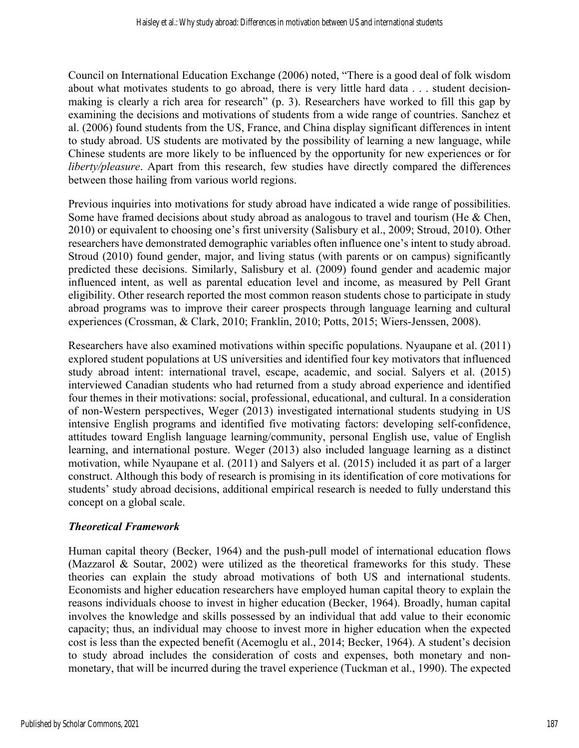Council on International Education Exchange (2006) noted, "There is a good deal of folk wisdom about what motivates students to go abroad, there is very little hard data . . . student decisionmaking is clearly a rich area for research" (p. 3). Researchers have worked to fill this gap by examining the decisions and motivations of students from a wide range of countries. Sanchez et al. (2006) found students from the US, France, and China display significant differences in intent to study abroad. US students are motivated by the possibility of learning a new language, while Chinese students are more likely to be influenced by the opportunity for new experiences or for *liberty/pleasure*. Apart from this research, few studies have directly compared the differences between those hailing from various world regions.

Previous inquiries into motivations for study abroad have indicated a wide range of possibilities. Some have framed decisions about study abroad as analogous to travel and tourism (He & Chen, 2010) or equivalent to choosing one's first university (Salisbury et al., 2009; Stroud, 2010). Other researchers have demonstrated demographic variables often influence one's intent to study abroad. Stroud (2010) found gender, major, and living status (with parents or on campus) significantly predicted these decisions. Similarly, Salisbury et al. (2009) found gender and academic major influenced intent, as well as parental education level and income, as measured by Pell Grant eligibility. Other research reported the most common reason students chose to participate in study abroad programs was to improve their career prospects through language learning and cultural experiences (Crossman, & Clark, 2010; Franklin, 2010; Potts, 2015; Wiers-Jenssen, 2008).

Researchers have also examined motivations within specific populations. Nyaupane et al. (2011) explored student populations at US universities and identified four key motivators that influenced study abroad intent: international travel, escape, academic, and social. Salyers et al. (2015) interviewed Canadian students who had returned from a study abroad experience and identified four themes in their motivations: social, professional, educational, and cultural. In a consideration of non-Western perspectives, Weger (2013) investigated international students studying in US intensive English programs and identified five motivating factors: developing self-confidence, attitudes toward English language learning/community, personal English use, value of English learning, and international posture. Weger (2013) also included language learning as a distinct motivation, while Nyaupane et al. (2011) and Salyers et al. (2015) included it as part of a larger construct. Although this body of research is promising in its identification of core motivations for students' study abroad decisions, additional empirical research is needed to fully understand this concept on a global scale.

#### *Theoretical Framework*

Human capital theory (Becker, 1964) and the push-pull model of international education flows (Mazzarol & Soutar, 2002) were utilized as the theoretical frameworks for this study. These theories can explain the study abroad motivations of both US and international students. Economists and higher education researchers have employed human capital theory to explain the reasons individuals choose to invest in higher education (Becker, 1964). Broadly, human capital involves the knowledge and skills possessed by an individual that add value to their economic capacity; thus, an individual may choose to invest more in higher education when the expected cost is less than the expected benefit (Acemoglu et al., 2014; Becker, 1964). A student's decision to study abroad includes the consideration of costs and expenses, both monetary and nonmonetary, that will be incurred during the travel experience (Tuckman et al., 1990). The expected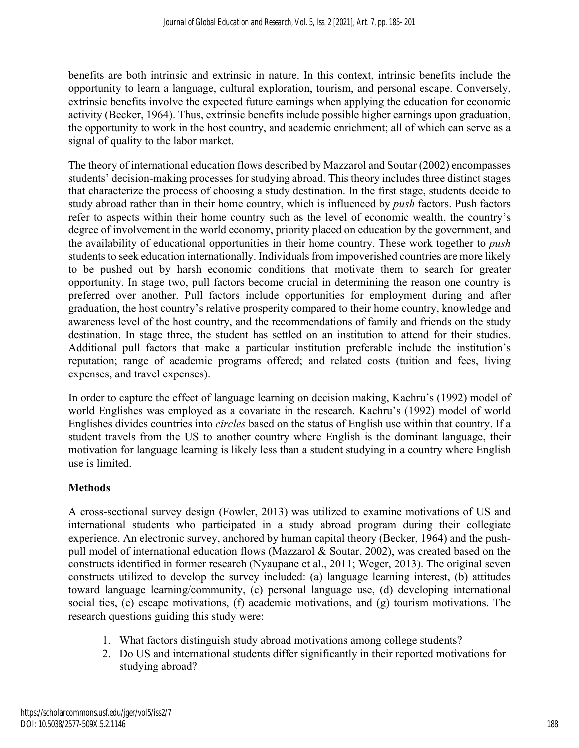benefits are both intrinsic and extrinsic in nature. In this context, intrinsic benefits include the opportunity to learn a language, cultural exploration, tourism, and personal escape. Conversely, extrinsic benefits involve the expected future earnings when applying the education for economic activity (Becker, 1964). Thus, extrinsic benefits include possible higher earnings upon graduation, the opportunity to work in the host country, and academic enrichment; all of which can serve as a signal of quality to the labor market.

The theory of international education flows described by Mazzarol and Soutar (2002) encompasses students' decision-making processes for studying abroad. This theory includes three distinct stages that characterize the process of choosing a study destination. In the first stage, students decide to study abroad rather than in their home country, which is influenced by *push* factors. Push factors refer to aspects within their home country such as the level of economic wealth, the country's degree of involvement in the world economy, priority placed on education by the government, and the availability of educational opportunities in their home country. These work together to *push* students to seek education internationally. Individuals from impoverished countries are more likely to be pushed out by harsh economic conditions that motivate them to search for greater opportunity. In stage two, pull factors become crucial in determining the reason one country is preferred over another. Pull factors include opportunities for employment during and after graduation, the host country's relative prosperity compared to their home country, knowledge and awareness level of the host country, and the recommendations of family and friends on the study destination. In stage three, the student has settled on an institution to attend for their studies. Additional pull factors that make a particular institution preferable include the institution's reputation; range of academic programs offered; and related costs (tuition and fees, living expenses, and travel expenses).

In order to capture the effect of language learning on decision making, Kachru's (1992) model of world Englishes was employed as a covariate in the research. Kachru's (1992) model of world Englishes divides countries into *circles* based on the status of English use within that country. If a student travels from the US to another country where English is the dominant language, their motivation for language learning is likely less than a student studying in a country where English use is limited.

#### **Methods**

A cross-sectional survey design (Fowler, 2013) was utilized to examine motivations of US and international students who participated in a study abroad program during their collegiate experience. An electronic survey, anchored by human capital theory (Becker, 1964) and the pushpull model of international education flows (Mazzarol & Soutar, 2002), was created based on the constructs identified in former research (Nyaupane et al., 2011; Weger, 2013). The original seven constructs utilized to develop the survey included: (a) language learning interest, (b) attitudes toward language learning/community, (c) personal language use, (d) developing international social ties, (e) escape motivations, (f) academic motivations, and (g) tourism motivations. The research questions guiding this study were:

- 1. What factors distinguish study abroad motivations among college students?
- 2. Do US and international students differ significantly in their reported motivations for studying abroad?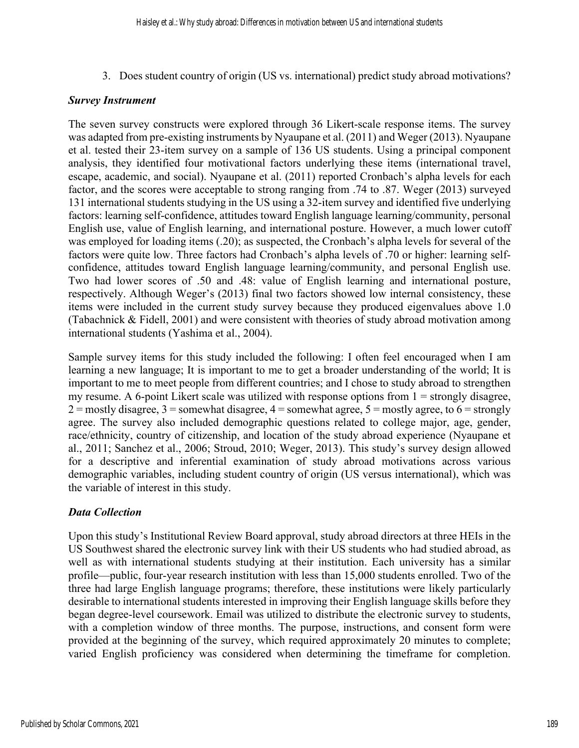3. Does student country of origin (US vs. international) predict study abroad motivations?

#### *Survey Instrument*

The seven survey constructs were explored through 36 Likert-scale response items. The survey was adapted from pre-existing instruments by Nyaupane et al. (2011) and Weger (2013). Nyaupane et al. tested their 23-item survey on a sample of 136 US students. Using a principal component analysis, they identified four motivational factors underlying these items (international travel, escape, academic, and social). Nyaupane et al. (2011) reported Cronbach's alpha levels for each factor, and the scores were acceptable to strong ranging from .74 to .87. Weger (2013) surveyed 131 international students studying in the US using a 32-item survey and identified five underlying factors: learning self-confidence, attitudes toward English language learning/community, personal English use, value of English learning, and international posture. However, a much lower cutoff was employed for loading items (.20); as suspected, the Cronbach's alpha levels for several of the factors were quite low. Three factors had Cronbach's alpha levels of .70 or higher: learning selfconfidence, attitudes toward English language learning/community, and personal English use. Two had lower scores of .50 and .48: value of English learning and international posture, respectively. Although Weger's (2013) final two factors showed low internal consistency, these items were included in the current study survey because they produced eigenvalues above 1.0 (Tabachnick & Fidell, 2001) and were consistent with theories of study abroad motivation among international students (Yashima et al., 2004).

Sample survey items for this study included the following: I often feel encouraged when I am learning a new language; It is important to me to get a broader understanding of the world; It is important to me to meet people from different countries; and I chose to study abroad to strengthen my resume. A 6-point Likert scale was utilized with response options from  $1 =$  strongly disagree,  $2 =$  mostly disagree,  $3 =$  somewhat disagree,  $4 =$  somewhat agree,  $5 =$  mostly agree, to  $6 =$  strongly agree. The survey also included demographic questions related to college major, age, gender, race/ethnicity, country of citizenship, and location of the study abroad experience (Nyaupane et al., 2011; Sanchez et al., 2006; Stroud, 2010; Weger, 2013). This study's survey design allowed for a descriptive and inferential examination of study abroad motivations across various demographic variables, including student country of origin (US versus international), which was the variable of interest in this study.

#### *Data Collection*

Upon this study's Institutional Review Board approval, study abroad directors at three HEIs in the US Southwest shared the electronic survey link with their US students who had studied abroad, as well as with international students studying at their institution. Each university has a similar profile—public, four-year research institution with less than 15,000 students enrolled. Two of the three had large English language programs; therefore, these institutions were likely particularly desirable to international students interested in improving their English language skills before they began degree-level coursework. Email was utilized to distribute the electronic survey to students, with a completion window of three months. The purpose, instructions, and consent form were provided at the beginning of the survey, which required approximately 20 minutes to complete; varied English proficiency was considered when determining the timeframe for completion.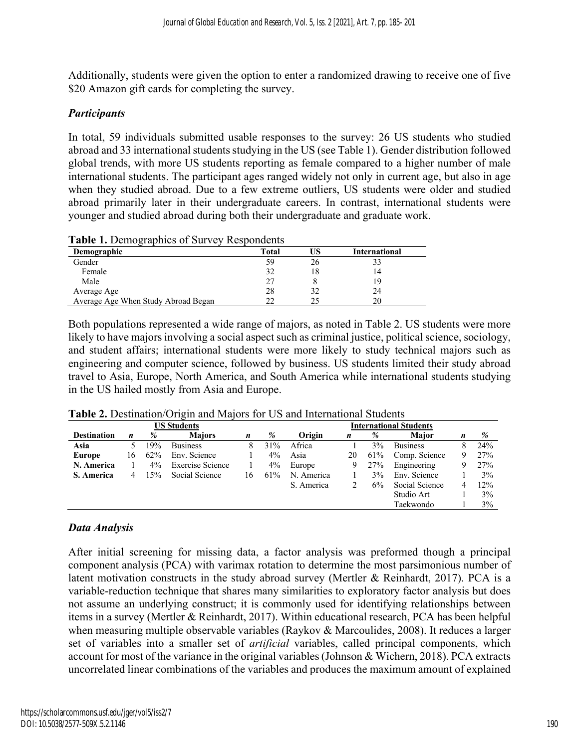Additionally, students were given the option to enter a randomized drawing to receive one of five \$20 Amazon gift cards for completing the survey.

#### *Participants*

In total, 59 individuals submitted usable responses to the survey: 26 US students who studied abroad and 33 international students studying in the US (see Table 1). Gender distribution followed global trends, with more US students reporting as female compared to a higher number of male international students. The participant ages ranged widely not only in current age, but also in age when they studied abroad. Due to a few extreme outliers, US students were older and studied abroad primarily later in their undergraduate careers. In contrast, international students were younger and studied abroad during both their undergraduate and graduate work.

| <b>Table 1.</b> Define applies of Survey Respondents |              |    |               |  |  |  |  |
|------------------------------------------------------|--------------|----|---------------|--|--|--|--|
| Demographic                                          | <b>Total</b> | US | International |  |  |  |  |
| Gender                                               | 59           | 26 |               |  |  |  |  |
| Female                                               | 32           | 18 |               |  |  |  |  |
| Male                                                 | 27           |    |               |  |  |  |  |
| Average Age                                          | 28           |    | 24            |  |  |  |  |
| Average Age When Study Abroad Began                  |              |    | 20            |  |  |  |  |

**Table 1.** Demographics of Survey Respondents

Both populations represented a wide range of majors, as noted in Table 2. US students were more likely to have majors involving a social aspect such as criminal justice, political science, sociology, and student affairs; international students were more likely to study technical majors such as engineering and computer science, followed by business. US students limited their study abroad travel to Asia, Europe, North America, and South America while international students studying in the US hailed mostly from Asia and Europe.

| <b>US Students</b> |    |       |                         |    |       |            | <b>International Students</b> |     |                 |   |      |
|--------------------|----|-------|-------------------------|----|-------|------------|-------------------------------|-----|-----------------|---|------|
| <b>Destination</b> | n  | %     | <b>Majors</b>           | n  | %     | Origin     | n                             | %   | <b>Major</b>    | n | $\%$ |
| Asia               |    | 19%   | <b>Business</b>         | 8  | 31%   | Africa     |                               | 3%  | <b>Business</b> | 8 | 24%  |
| <b>Europe</b>      | 16 | 62%   | Env. Science            |    | $4\%$ | Asia       | 20                            | 61% | Comp. Science   |   | 27%  |
| N. America         |    | $4\%$ | <b>Exercise Science</b> |    | $4\%$ | Europe     | 9                             | 27% | Engineering     |   | 27%  |
| S. America         | 4  | 15%   | Social Science          | 16 | 61%   | N. America |                               | 3%  | Env. Science    |   | 3%   |
|                    |    |       |                         |    |       | S. America |                               | 6%  | Social Science  |   | 12%  |
|                    |    |       |                         |    |       |            |                               |     | Studio Art      |   | 3%   |
|                    |    |       |                         |    |       |            |                               |     | Taekwondo       |   | 3%   |

**Table 2.** Destination/Origin and Majors for US and International Students

#### *Data Analysis*

After initial screening for missing data, a factor analysis was preformed though a principal component analysis (PCA) with varimax rotation to determine the most parsimonious number of latent motivation constructs in the study abroad survey (Mertler & Reinhardt, 2017). PCA is a variable-reduction technique that shares many similarities to exploratory factor analysis but does not assume an underlying construct; it is commonly used for identifying relationships between items in a survey (Mertler & Reinhardt, 2017). Within educational research, PCA has been helpful when measuring multiple observable variables (Raykov & Marcoulides, 2008). It reduces a larger set of variables into a smaller set of *artificial* variables, called principal components, which account for most of the variance in the original variables (Johnson & Wichern, 2018). PCA extracts uncorrelated linear combinations of the variables and produces the maximum amount of explained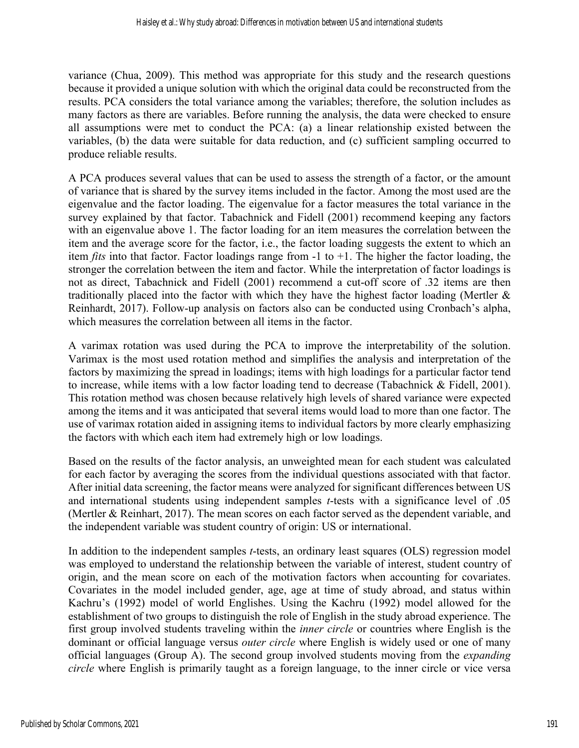variance (Chua, 2009). This method was appropriate for this study and the research questions because it provided a unique solution with which the original data could be reconstructed from the results. PCA considers the total variance among the variables; therefore, the solution includes as many factors as there are variables. Before running the analysis, the data were checked to ensure all assumptions were met to conduct the PCA: (a) a linear relationship existed between the variables, (b) the data were suitable for data reduction, and (c) sufficient sampling occurred to produce reliable results.

A PCA produces several values that can be used to assess the strength of a factor, or the amount of variance that is shared by the survey items included in the factor. Among the most used are the eigenvalue and the factor loading. The eigenvalue for a factor measures the total variance in the survey explained by that factor. Tabachnick and Fidell (2001) recommend keeping any factors with an eigenvalue above 1. The factor loading for an item measures the correlation between the item and the average score for the factor, i.e., the factor loading suggests the extent to which an item *fits* into that factor. Factor loadings range from -1 to +1. The higher the factor loading, the stronger the correlation between the item and factor. While the interpretation of factor loadings is not as direct, Tabachnick and Fidell (2001) recommend a cut-off score of .32 items are then traditionally placed into the factor with which they have the highest factor loading (Mertler & Reinhardt, 2017). Follow-up analysis on factors also can be conducted using Cronbach's alpha, which measures the correlation between all items in the factor.

A varimax rotation was used during the PCA to improve the interpretability of the solution. Varimax is the most used rotation method and simplifies the analysis and interpretation of the factors by maximizing the spread in loadings; items with high loadings for a particular factor tend to increase, while items with a low factor loading tend to decrease (Tabachnick & Fidell, 2001). This rotation method was chosen because relatively high levels of shared variance were expected among the items and it was anticipated that several items would load to more than one factor. The use of varimax rotation aided in assigning items to individual factors by more clearly emphasizing the factors with which each item had extremely high or low loadings.

Based on the results of the factor analysis, an unweighted mean for each student was calculated for each factor by averaging the scores from the individual questions associated with that factor. After initial data screening, the factor means were analyzed for significant differences between US and international students using independent samples *t*-tests with a significance level of .05 (Mertler & Reinhart, 2017). The mean scores on each factor served as the dependent variable, and the independent variable was student country of origin: US or international.

In addition to the independent samples *t*-tests, an ordinary least squares (OLS) regression model was employed to understand the relationship between the variable of interest, student country of origin, and the mean score on each of the motivation factors when accounting for covariates. Covariates in the model included gender, age, age at time of study abroad, and status within Kachru's (1992) model of world Englishes. Using the Kachru (1992) model allowed for the establishment of two groups to distinguish the role of English in the study abroad experience. The first group involved students traveling within the *inner circle* or countries where English is the dominant or official language versus *outer circle* where English is widely used or one of many official languages (Group A). The second group involved students moving from the *expanding circle* where English is primarily taught as a foreign language, to the inner circle or vice versa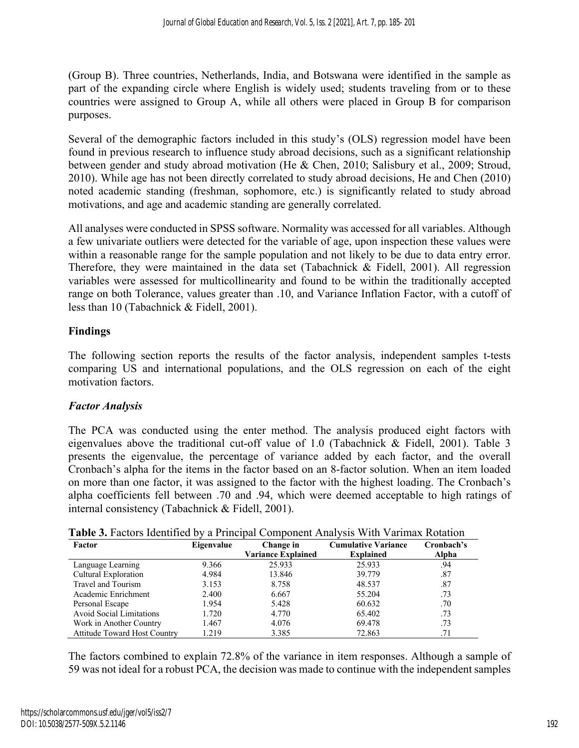(Group B). Three countries, Netherlands, India, and Botswana were identified in the sample as part of the expanding circle where English is widely used; students traveling from or to these countries were assigned to Group A, while all others were placed in Group B for comparison purposes.

Several of the demographic factors included in this study's (OLS) regression model have been found in previous research to influence study abroad decisions, such as a significant relationship between gender and study abroad motivation (He & Chen, 2010; Salisbury et al., 2009; Stroud, 2010). While age has not been directly correlated to study abroad decisions, He and Chen (2010) noted academic standing (freshman, sophomore, etc.) is significantly related to study abroad motivations, and age and academic standing are generally correlated.

All analyses were conducted in SPSS software. Normality was accessed for all variables. Although a few univariate outliers were detected for the variable of age, upon inspection these values were within a reasonable range for the sample population and not likely to be due to data entry error. Therefore, they were maintained in the data set (Tabachnick & Fidell, 2001). All regression variables were assessed for multicollinearity and found to be within the traditionally accepted range on both Tolerance, values greater than .10, and Variance Inflation Factor, with a cutoff of less than 10 (Tabachnick & Fidell, 2001).

#### **Findings**

The following section reports the results of the factor analysis, independent samples t-tests comparing US and international populations, and the OLS regression on each of the eight motivation factors.

#### *Factor Analysis*

The PCA was conducted using the enter method. The analysis produced eight factors with eigenvalues above the traditional cut-off value of 1.0 (Tabachnick & Fidell, 2001). Table 3 presents the eigenvalue, the percentage of variance added by each factor, and the overall Cronbach's alpha for the items in the factor based on an 8-factor solution. When an item loaded on more than one factor, it was assigned to the factor with the highest loading. The Cronbach's alpha coefficients fell between .70 and .94, which were deemed acceptable to high ratings of internal consistency (Tabachnick & Fidell, 2001).

| Factor                              | Eigenvalue | Change in                 | <b>Cumulative Variance</b> | Cronbach's |
|-------------------------------------|------------|---------------------------|----------------------------|------------|
|                                     |            | <b>Variance Explained</b> | <b>Explained</b>           | Alpha      |
| Language Learning                   | 9.366      | 25.933                    | 25.933                     | .94        |
| Cultural Exploration                | 4.984      | 13.846                    | 39.779                     | .87        |
| Travel and Tourism                  | 3.153      | 8.758                     | 48.537                     | .87        |
| Academic Enrichment                 | 2.400      | 6.667                     | 55.204                     | .73        |
| Personal Escape                     | 1.954      | 5.428                     | 60.632                     | .70        |
| <b>Avoid Social Limitations</b>     | 1.720      | 4.770                     | 65.402                     | .73        |
| Work in Another Country             | 1.467      | 4.076                     | 69.478                     | .73        |
| <b>Attitude Toward Host Country</b> | 1.219      | 3.385                     | 72.863                     | .71        |

**Table 3.** Factors Identified by a Principal Component Analysis With Varimax Rotation

The factors combined to explain 72.8% of the variance in item responses. Although a sample of 59 was not ideal for a robust PCA, the decision was made to continue with the independent samples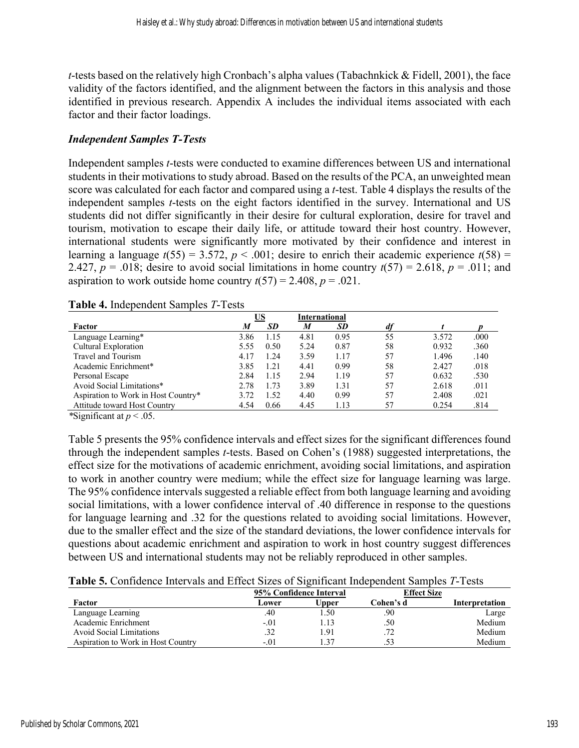*t*-tests based on the relatively high Cronbach's alpha values (Tabachnkick & Fidell, 2001), the face validity of the factors identified, and the alignment between the factors in this analysis and those identified in previous research. Appendix A includes the individual items associated with each factor and their factor loadings.

#### *Independent Samples T-Tests*

Independent samples *t*-tests were conducted to examine differences between US and international students in their motivations to study abroad. Based on the results of the PCA, an unweighted mean score was calculated for each factor and compared using a *t*-test. Table 4 displays the results of the independent samples *t*-tests on the eight factors identified in the survey. International and US students did not differ significantly in their desire for cultural exploration, desire for travel and tourism, motivation to escape their daily life, or attitude toward their host country. However, international students were significantly more motivated by their confidence and interest in learning a language  $t(55) = 3.572$ ,  $p < .001$ ; desire to enrich their academic experience  $t(58) =$ 2.427,  $p = .018$ ; desire to avoid social limitations in home country  $t(57) = 2.618$ ,  $p = .011$ ; and aspiration to work outside home country  $t(57) = 2.408$ ,  $p = .021$ .

|                                                                     | US   |      |      | International |    |       |      |
|---------------------------------------------------------------------|------|------|------|---------------|----|-------|------|
| Factor                                                              | M    | SD   | M    | SD            |    |       |      |
| Language Learning*                                                  | 3.86 | 1.15 | 4.81 | 0.95          | 55 | 3.572 | .000 |
| Cultural Exploration                                                | 5.55 | 0.50 | 5.24 | 0.87          | 58 | 0.932 | .360 |
| Travel and Tourism                                                  | 4.17 | 1.24 | 3.59 | 1.17          | 57 | 1.496 | .140 |
| Academic Enrichment*                                                | 3.85 | 1.21 | 4.41 | 0.99          | 58 | 2.427 | .018 |
| Personal Escape                                                     | 2.84 | 1.15 | 2.94 | 1.19          | 57 | 0.632 | .530 |
| Avoid Social Limitations*                                           | 2.78 | 1.73 | 3.89 | 1.31          | 57 | 2.618 | .011 |
| Aspiration to Work in Host Country*                                 | 3.72 | 1.52 | 4.40 | 0.99          | 57 | 2.408 | .021 |
| Attitude toward Host Country                                        | 4.54 | 0.66 | 4.45 | 1.13          | 57 | 0.254 | .814 |
| $-1$ . $-1$ . $-1$<br>$\cdot$ $\sim$<br>$\sim$ $\sim$ $\sim$ $\sim$ |      |      |      |               |    |       |      |

|  | Table 4. Independent Samples T-Tests |  |  |
|--|--------------------------------------|--|--|
|--|--------------------------------------|--|--|

*\**Significant at *p* < .05.

Table 5 presents the 95% confidence intervals and effect sizes for the significant differences found through the independent samples *t*-tests. Based on Cohen's (1988) suggested interpretations, the effect size for the motivations of academic enrichment, avoiding social limitations, and aspiration to work in another country were medium; while the effect size for language learning was large. The 95% confidence intervals suggested a reliable effect from both language learning and avoiding social limitations, with a lower confidence interval of .40 difference in response to the questions for language learning and .32 for the questions related to avoiding social limitations. However, due to the smaller effect and the size of the standard deviations, the lower confidence intervals for questions about academic enrichment and aspiration to work in host country suggest differences between US and international students may not be reliably reproduced in other samples.

#### **Table 5.** Confidence Intervals and Effect Sizes of Significant Independent Samples *T*-Tests

|                                    | 95% Confidence Interval |       | <b>Effect Size</b> |                |
|------------------------------------|-------------------------|-------|--------------------|----------------|
| Factor                             | Lower                   | Upper | Cohen's d          | Interpretation |
| Language Learning                  | .40                     | 1.50  | .90                | Large          |
| Academic Enrichment                | $-.01$                  | 1.13  | .50                | Medium         |
| <b>Avoid Social Limitations</b>    | .32                     | l.91  | .72                | Medium         |
| Aspiration to Work in Host Country | $-.01$                  | 1.37  | .53                | Medium         |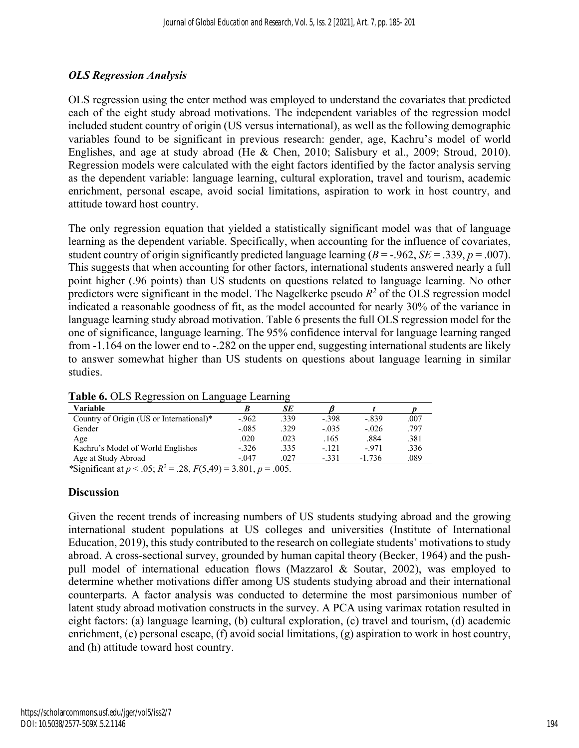#### *OLS Regression Analysis*

OLS regression using the enter method was employed to understand the covariates that predicted each of the eight study abroad motivations. The independent variables of the regression model included student country of origin (US versus international), as well as the following demographic variables found to be significant in previous research: gender, age, Kachru's model of world Englishes, and age at study abroad (He & Chen, 2010; Salisbury et al., 2009; Stroud, 2010). Regression models were calculated with the eight factors identified by the factor analysis serving as the dependent variable: language learning, cultural exploration, travel and tourism, academic enrichment, personal escape, avoid social limitations, aspiration to work in host country, and attitude toward host country.

The only regression equation that yielded a statistically significant model was that of language learning as the dependent variable. Specifically, when accounting for the influence of covariates, student country of origin significantly predicted language learning  $(B = -0.962, SE = 0.339, p = 0.007)$ . This suggests that when accounting for other factors, international students answered nearly a full point higher (.96 points) than US students on questions related to language learning. No other predictors were significant in the model. The Nagelkerke pseudo  $R<sup>2</sup>$  of the OLS regression model indicated a reasonable goodness of fit, as the model accounted for nearly 30% of the variance in language learning study abroad motivation. Table 6 presents the full OLS regression model for the one of significance, language learning. The 95% confidence interval for language learning ranged from -1.164 on the lower end to -.282 on the upper end, suggesting international students are likely to answer somewhat higher than US students on questions about language learning in similar studies.

| <b>Table 6.</b> OLD Regression on Language Learning |         |      |         |          |      |  |  |
|-----------------------------------------------------|---------|------|---------|----------|------|--|--|
| Variable                                            |         | SE   |         |          |      |  |  |
| Country of Origin (US or International)*            | $-962$  | .339 | $-.398$ | $-.839$  | .007 |  |  |
| Gender                                              | $-.085$ | .329 | $-.035$ | $-.026$  | .797 |  |  |
| Age                                                 | .020    | .023 | .165    | .884     | .381 |  |  |
| Kachru's Model of World Englishes                   | $-.326$ | .335 | $-.121$ | $-971$   | .336 |  |  |
| Age at Study Abroad                                 | $-.047$ | .027 | $-.331$ | $-1.736$ | .089 |  |  |
|                                                     |         |      |         |          |      |  |  |

**Table 6.** OLS Regression on Language Learning

\*Significant at  $p < .05$ ;  $R^2 = .28$ ,  $F(5,49) = 3.801$ ,  $p = .005$ .

#### **Discussion**

Given the recent trends of increasing numbers of US students studying abroad and the growing international student populations at US colleges and universities (Institute of International Education, 2019), this study contributed to the research on collegiate students' motivations to study abroad. A cross-sectional survey, grounded by human capital theory (Becker, 1964) and the pushpull model of international education flows (Mazzarol & Soutar, 2002), was employed to determine whether motivations differ among US students studying abroad and their international counterparts. A factor analysis was conducted to determine the most parsimonious number of latent study abroad motivation constructs in the survey. A PCA using varimax rotation resulted in eight factors: (a) language learning, (b) cultural exploration, (c) travel and tourism, (d) academic enrichment, (e) personal escape, (f) avoid social limitations, (g) aspiration to work in host country, and (h) attitude toward host country.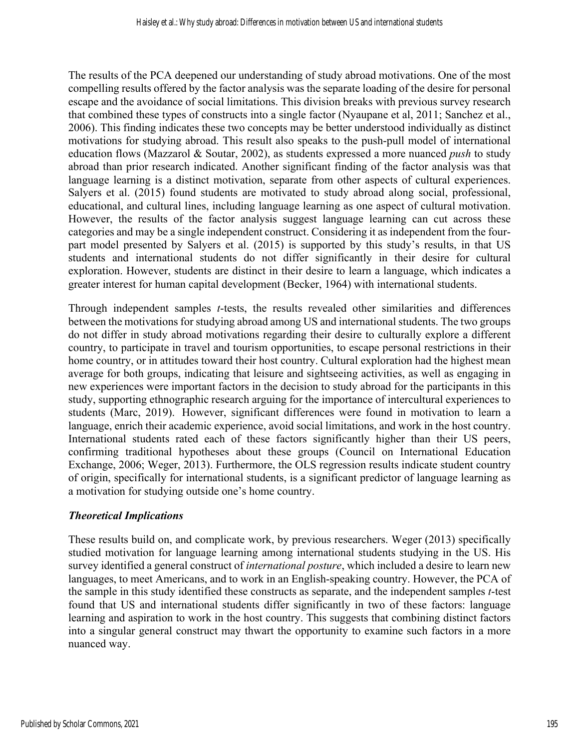The results of the PCA deepened our understanding of study abroad motivations. One of the most compelling results offered by the factor analysis was the separate loading of the desire for personal escape and the avoidance of social limitations. This division breaks with previous survey research that combined these types of constructs into a single factor (Nyaupane et al, 2011; Sanchez et al., 2006). This finding indicates these two concepts may be better understood individually as distinct motivations for studying abroad. This result also speaks to the push-pull model of international education flows (Mazzarol & Soutar, 2002), as students expressed a more nuanced *push* to study abroad than prior research indicated. Another significant finding of the factor analysis was that language learning is a distinct motivation, separate from other aspects of cultural experiences. Salyers et al. (2015) found students are motivated to study abroad along social, professional, educational, and cultural lines, including language learning as one aspect of cultural motivation. However, the results of the factor analysis suggest language learning can cut across these categories and may be a single independent construct. Considering it as independent from the fourpart model presented by Salyers et al. (2015) is supported by this study's results, in that US students and international students do not differ significantly in their desire for cultural exploration. However, students are distinct in their desire to learn a language, which indicates a greater interest for human capital development (Becker, 1964) with international students.

Through independent samples *t*-tests, the results revealed other similarities and differences between the motivations for studying abroad among US and international students. The two groups do not differ in study abroad motivations regarding their desire to culturally explore a different country, to participate in travel and tourism opportunities, to escape personal restrictions in their home country, or in attitudes toward their host country. Cultural exploration had the highest mean average for both groups, indicating that leisure and sightseeing activities, as well as engaging in new experiences were important factors in the decision to study abroad for the participants in this study, supporting ethnographic research arguing for the importance of intercultural experiences to students (Marc, 2019). However, significant differences were found in motivation to learn a language, enrich their academic experience, avoid social limitations, and work in the host country. International students rated each of these factors significantly higher than their US peers, confirming traditional hypotheses about these groups (Council on International Education Exchange, 2006; Weger, 2013). Furthermore, the OLS regression results indicate student country of origin, specifically for international students, is a significant predictor of language learning as a motivation for studying outside one's home country.

#### *Theoretical Implications*

These results build on, and complicate work, by previous researchers. Weger (2013) specifically studied motivation for language learning among international students studying in the US. His survey identified a general construct of *international posture*, which included a desire to learn new languages, to meet Americans, and to work in an English-speaking country. However, the PCA of the sample in this study identified these constructs as separate, and the independent samples *t*-test found that US and international students differ significantly in two of these factors: language learning and aspiration to work in the host country. This suggests that combining distinct factors into a singular general construct may thwart the opportunity to examine such factors in a more nuanced way.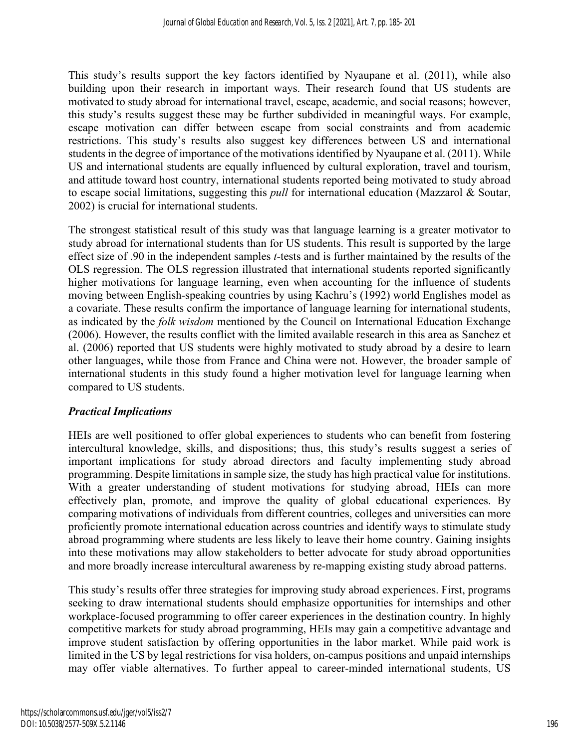This study's results support the key factors identified by Nyaupane et al. (2011), while also building upon their research in important ways. Their research found that US students are motivated to study abroad for international travel, escape, academic, and social reasons; however, this study's results suggest these may be further subdivided in meaningful ways. For example, escape motivation can differ between escape from social constraints and from academic restrictions. This study's results also suggest key differences between US and international students in the degree of importance of the motivations identified by Nyaupane et al. (2011). While US and international students are equally influenced by cultural exploration, travel and tourism, and attitude toward host country, international students reported being motivated to study abroad to escape social limitations, suggesting this *pull* for international education (Mazzarol & Soutar, 2002) is crucial for international students.

The strongest statistical result of this study was that language learning is a greater motivator to study abroad for international students than for US students. This result is supported by the large effect size of .90 in the independent samples *t*-tests and is further maintained by the results of the OLS regression. The OLS regression illustrated that international students reported significantly higher motivations for language learning, even when accounting for the influence of students moving between English-speaking countries by using Kachru's (1992) world Englishes model as a covariate. These results confirm the importance of language learning for international students, as indicated by the *folk wisdom* mentioned by the Council on International Education Exchange (2006). However, the results conflict with the limited available research in this area as Sanchez et al. (2006) reported that US students were highly motivated to study abroad by a desire to learn other languages, while those from France and China were not. However, the broader sample of international students in this study found a higher motivation level for language learning when compared to US students.

#### *Practical Implications*

HEIs are well positioned to offer global experiences to students who can benefit from fostering intercultural knowledge, skills, and dispositions; thus, this study's results suggest a series of important implications for study abroad directors and faculty implementing study abroad programming. Despite limitations in sample size, the study has high practical value for institutions. With a greater understanding of student motivations for studying abroad, HEIs can more effectively plan, promote, and improve the quality of global educational experiences. By comparing motivations of individuals from different countries, colleges and universities can more proficiently promote international education across countries and identify ways to stimulate study abroad programming where students are less likely to leave their home country. Gaining insights into these motivations may allow stakeholders to better advocate for study abroad opportunities and more broadly increase intercultural awareness by re-mapping existing study abroad patterns.

This study's results offer three strategies for improving study abroad experiences. First, programs seeking to draw international students should emphasize opportunities for internships and other workplace-focused programming to offer career experiences in the destination country. In highly competitive markets for study abroad programming, HEIs may gain a competitive advantage and improve student satisfaction by offering opportunities in the labor market. While paid work is limited in the US by legal restrictions for visa holders, on-campus positions and unpaid internships may offer viable alternatives. To further appeal to career-minded international students, US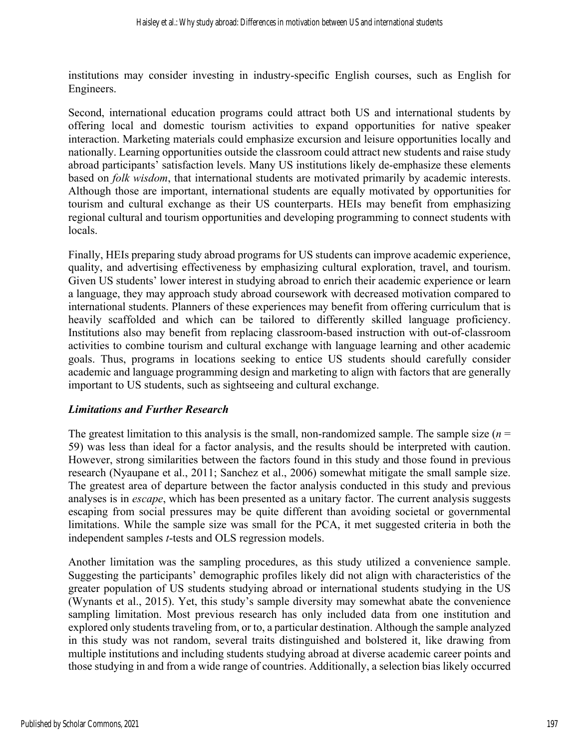institutions may consider investing in industry-specific English courses, such as English for Engineers.

Second, international education programs could attract both US and international students by offering local and domestic tourism activities to expand opportunities for native speaker interaction. Marketing materials could emphasize excursion and leisure opportunities locally and nationally. Learning opportunities outside the classroom could attract new students and raise study abroad participants' satisfaction levels. Many US institutions likely de-emphasize these elements based on *folk wisdom*, that international students are motivated primarily by academic interests. Although those are important, international students are equally motivated by opportunities for tourism and cultural exchange as their US counterparts. HEIs may benefit from emphasizing regional cultural and tourism opportunities and developing programming to connect students with locals.

Finally, HEIs preparing study abroad programs for US students can improve academic experience, quality, and advertising effectiveness by emphasizing cultural exploration, travel, and tourism. Given US students' lower interest in studying abroad to enrich their academic experience or learn a language, they may approach study abroad coursework with decreased motivation compared to international students. Planners of these experiences may benefit from offering curriculum that is heavily scaffolded and which can be tailored to differently skilled language proficiency. Institutions also may benefit from replacing classroom-based instruction with out-of-classroom activities to combine tourism and cultural exchange with language learning and other academic goals. Thus, programs in locations seeking to entice US students should carefully consider academic and language programming design and marketing to align with factors that are generally important to US students, such as sightseeing and cultural exchange.

#### *Limitations and Further Research*

The greatest limitation to this analysis is the small, non-randomized sample. The sample size (*n* = 59) was less than ideal for a factor analysis, and the results should be interpreted with caution. However, strong similarities between the factors found in this study and those found in previous research (Nyaupane et al., 2011; Sanchez et al., 2006) somewhat mitigate the small sample size. The greatest area of departure between the factor analysis conducted in this study and previous analyses is in *escape*, which has been presented as a unitary factor. The current analysis suggests escaping from social pressures may be quite different than avoiding societal or governmental limitations. While the sample size was small for the PCA, it met suggested criteria in both the independent samples *t*-tests and OLS regression models.

Another limitation was the sampling procedures, as this study utilized a convenience sample. Suggesting the participants' demographic profiles likely did not align with characteristics of the greater population of US students studying abroad or international students studying in the US (Wynants et al., 2015). Yet, this study's sample diversity may somewhat abate the convenience sampling limitation. Most previous research has only included data from one institution and explored only students traveling from, or to, a particular destination. Although the sample analyzed in this study was not random, several traits distinguished and bolstered it, like drawing from multiple institutions and including students studying abroad at diverse academic career points and those studying in and from a wide range of countries. Additionally, a selection bias likely occurred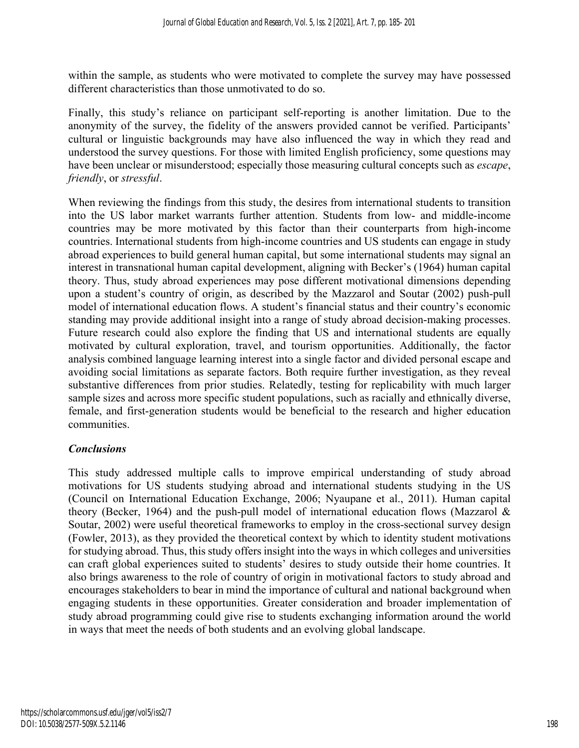within the sample, as students who were motivated to complete the survey may have possessed different characteristics than those unmotivated to do so.

Finally, this study's reliance on participant self-reporting is another limitation. Due to the anonymity of the survey, the fidelity of the answers provided cannot be verified. Participants' cultural or linguistic backgrounds may have also influenced the way in which they read and understood the survey questions. For those with limited English proficiency, some questions may have been unclear or misunderstood; especially those measuring cultural concepts such as *escape*, *friendly*, or *stressful*.

When reviewing the findings from this study, the desires from international students to transition into the US labor market warrants further attention. Students from low- and middle-income countries may be more motivated by this factor than their counterparts from high-income countries. International students from high-income countries and US students can engage in study abroad experiences to build general human capital, but some international students may signal an interest in transnational human capital development, aligning with Becker's (1964) human capital theory. Thus, study abroad experiences may pose different motivational dimensions depending upon a student's country of origin, as described by the Mazzarol and Soutar (2002) push-pull model of international education flows. A student's financial status and their country's economic standing may provide additional insight into a range of study abroad decision-making processes. Future research could also explore the finding that US and international students are equally motivated by cultural exploration, travel, and tourism opportunities. Additionally, the factor analysis combined language learning interest into a single factor and divided personal escape and avoiding social limitations as separate factors. Both require further investigation, as they reveal substantive differences from prior studies. Relatedly, testing for replicability with much larger sample sizes and across more specific student populations, such as racially and ethnically diverse, female, and first-generation students would be beneficial to the research and higher education communities.

#### *Conclusions*

This study addressed multiple calls to improve empirical understanding of study abroad motivations for US students studying abroad and international students studying in the US (Council on International Education Exchange, 2006; Nyaupane et al., 2011). Human capital theory (Becker, 1964) and the push-pull model of international education flows (Mazzarol & Soutar, 2002) were useful theoretical frameworks to employ in the cross-sectional survey design (Fowler, 2013), as they provided the theoretical context by which to identity student motivations for studying abroad. Thus, this study offers insight into the ways in which colleges and universities can craft global experiences suited to students' desires to study outside their home countries. It also brings awareness to the role of country of origin in motivational factors to study abroad and encourages stakeholders to bear in mind the importance of cultural and national background when engaging students in these opportunities. Greater consideration and broader implementation of study abroad programming could give rise to students exchanging information around the world in ways that meet the needs of both students and an evolving global landscape.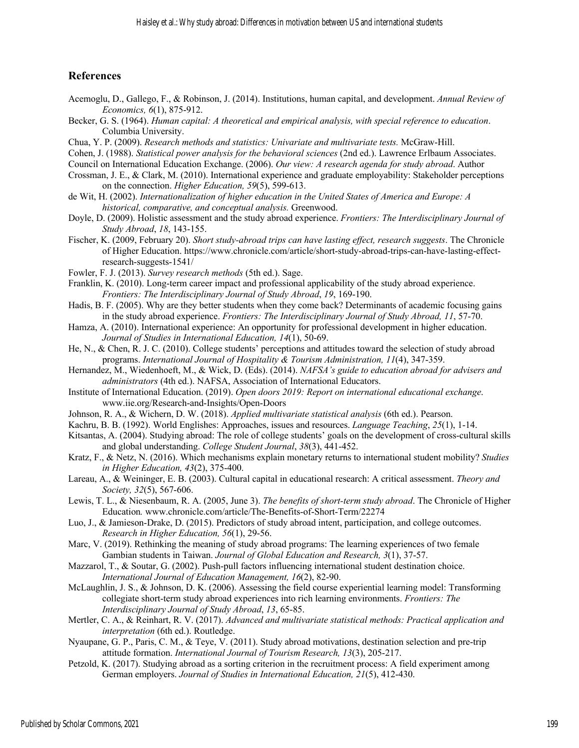#### **References**

- Acemoglu, D., Gallego, F., & Robinson, J. (2014). Institutions, human capital, and development. *Annual Review of Economics, 6*(1), 875-912.
- Becker, G. S. (1964). *Human capital: A theoretical and empirical analysis, with special reference to education*. Columbia University.
- Chua, Y. P. (2009). *Research methods and statistics: Univariate and multivariate tests.* McGraw-Hill.
- Cohen, J. (1988). *Statistical power analysis for the behavioral sciences* (2nd ed.). Lawrence Erlbaum Associates.
- Council on International Education Exchange. (2006). *Our view: A research agenda for study abroad*. Author
- Crossman, J. E., & Clark, M. (2010). International experience and graduate employability: Stakeholder perceptions on the connection. *Higher Education, 59*(5), 599-613.
- de Wit, H. (2002). *Internationalization of higher education in the United States of America and Europe: A historical, comparative, and conceptual analysis.* Greenwood.
- Doyle, D. (2009). Holistic assessment and the study abroad experience. *Frontiers: The Interdisciplinary Journal of Study Abroad*, *18*, 143-155.
- Fischer, K. (2009, February 20). *Short study-abroad trips can have lasting effect, research suggests*. The Chronicle of Higher Education. https://www.chronicle.com/article/short-study-abroad-trips-can-have-lasting-effectresearch-suggests-1541/
- Fowler, F. J. (2013). *Survey research methods* (5th ed.). Sage.
- Franklin, K. (2010). Long-term career impact and professional applicability of the study abroad experience. *Frontiers: The Interdisciplinary Journal of Study Abroad*, *19*, 169-190.
- Hadis, B. F. (2005). Why are they better students when they come back? Determinants of academic focusing gains in the study abroad experience. *Frontiers: The Interdisciplinary Journal of Study Abroad, 11*, 57-70.
- Hamza, A. (2010). International experience: An opportunity for professional development in higher education. *Journal of Studies in International Education, 14*(1), 50-69.
- He, N., & Chen, R. J. C. (2010). College students' perceptions and attitudes toward the selection of study abroad programs. *International Journal of Hospitality & Tourism Administration, 11*(4), 347-359.
- Hernandez, M., Wiedenhoeft, M., & Wick, D. (Eds). (2014). *NAFSA's guide to education abroad for advisers and administrators* (4th ed.). NAFSA, Association of International Educators.
- Institute of International Education. (2019). *Open doors 2019: Report on international educational exchange*. www.iie.org/Research-and-Insights/Open-Doors
- Johnson, R. A., & Wichern, D. W. (2018). *Applied multivariate statistical analysis* (6th ed.). Pearson.
- Kachru, B. B. (1992). World Englishes: Approaches, issues and resources. *Language Teaching*, *25*(1), 1-14.
- Kitsantas, A. (2004). Studying abroad: The role of college students' goals on the development of cross-cultural skills and global understanding. *College Student Journal*, *38*(3), 441-452.
- Kratz, F., & Netz, N. (2016). Which mechanisms explain monetary returns to international student mobility? *Studies in Higher Education, 43*(2), 375-400.
- Lareau, A., & Weininger, E. B. (2003). Cultural capital in educational research: A critical assessment. *Theory and Society, 32*(5), 567-606.
- Lewis, T. L., & Niesenbaum, R. A. (2005, June 3). *The benefits of short-term study abroad*. The Chronicle of Higher Education*.* www.chronicle.com/article/The-Benefits-of-Short-Term/22274
- Luo, J., & Jamieson-Drake, D. (2015). Predictors of study abroad intent, participation, and college outcomes. *Research in Higher Education, 56*(1), 29-56.
- Marc, V. (2019). Rethinking the meaning of study abroad programs: The learning experiences of two female Gambian students in Taiwan. *Journal of Global Education and Research, 3*(1), 37-57.
- Mazzarol, T., & Soutar, G. (2002). Push-pull factors influencing international student destination choice. *International Journal of Education Management, 16*(2), 82-90.
- McLaughlin, J. S., & Johnson, D. K. (2006). Assessing the field course experiential learning model: Transforming collegiate short-term study abroad experiences into rich learning environments. *Frontiers: The Interdisciplinary Journal of Study Abroad*, *13*, 65-85.
- Mertler, C. A., & Reinhart, R. V. (2017). *Advanced and multivariate statistical methods: Practical application and interpretation* (6th ed.). Routledge.
- Nyaupane, G. P., Paris, C. M., & Teye, V. (2011). Study abroad motivations, destination selection and pre‐trip attitude formation. *International Journal of Tourism Research, 13*(3), 205-217.
- Petzold, K. (2017). Studying abroad as a sorting criterion in the recruitment process: A field experiment among German employers. *Journal of Studies in International Education, 21*(5), 412-430.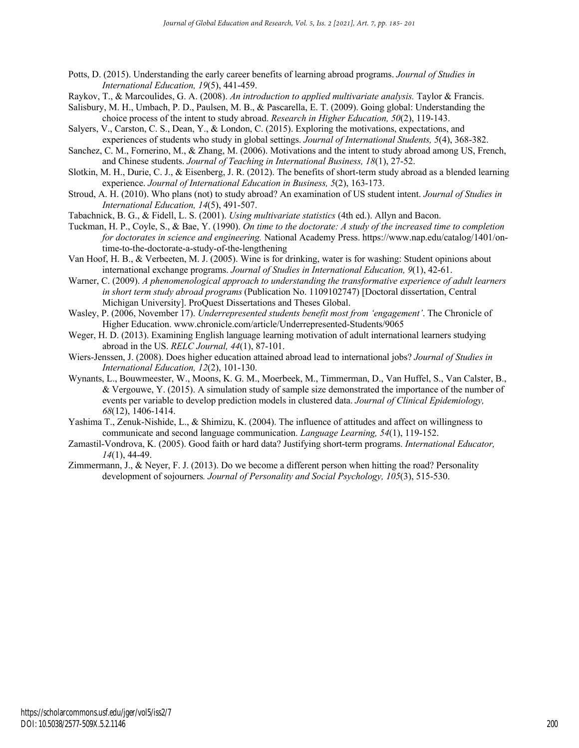- Potts, D. (2015). Understanding the early career benefits of learning abroad programs. *Journal of Studies in International Education, 19*(5), 441-459.
- Raykov, T., & Marcoulides, G. A. (2008). *An introduction to applied multivariate analysis.* Taylor & Francis.
- Salisbury, M. H., Umbach, P. D., Paulsen, M. B., & Pascarella, E. T. (2009). Going global: Understanding the choice process of the intent to study abroad. *Research in Higher Education, 50*(2), 119-143.
- Salyers, V., Carston, C. S., Dean, Y., & London, C. (2015). Exploring the motivations, expectations, and experiences of students who study in global settings. *Journal of International Students, 5*(4), 368-382.
- Sanchez, C. M., Fornerino, M., & Zhang, M. (2006). Motivations and the intent to study abroad among US, French, and Chinese students. *Journal of Teaching in International Business, 18*(1), 27-52.
- Slotkin, M. H., Durie, C. J., & Eisenberg, J. R. (2012). The benefits of short-term study abroad as a blended learning experience. *Journal of International Education in Business, 5*(2), 163-173.
- Stroud, A. H. (2010). Who plans (not) to study abroad? An examination of US student intent. *Journal of Studies in International Education, 14*(5), 491-507.
- Tabachnick, B. G., & Fidell, L. S. (2001). *Using multivariate statistics* (4th ed.). Allyn and Bacon.
- Tuckman, H. P., Coyle, S., & Bae, Y. (1990). *On time to the doctorate: A study of the increased time to completion for doctorates in science and engineering.* National Academy Press. https://www.nap.edu/catalog/1401/ontime-to-the-doctorate-a-study-of-the-lengthening
- Van Hoof, H. B., & Verbeeten, M. J. (2005). Wine is for drinking, water is for washing: Student opinions about international exchange programs. *Journal of Studies in International Education, 9*(1), 42-61.
- Warner, C. (2009). *A phenomenological approach to understanding the transformative experience of adult learners in short term study abroad programs* (Publication No. 1109102747) [Doctoral dissertation, Central Michigan University]. ProQuest Dissertations and Theses Global.
- Wasley, P. (2006, November 17). *Underrepresented students benefit most from 'engagement'*. The Chronicle of Higher Education. www.chronicle.com/article/Underrepresented-Students/9065
- Weger, H. D. (2013). Examining English language learning motivation of adult international learners studying abroad in the US. *RELC Journal, 44*(1), 87-101.
- Wiers-Jenssen, J. (2008). Does higher education attained abroad lead to international jobs? *Journal of Studies in International Education, 12*(2), 101-130.
- Wynants, L., Bouwmeester, W., Moons, K. G. M., Moerbeek, M., Timmerman, D., Van Huffel, S., Van Calster, B., & Vergouwe, Y. (2015). A simulation study of sample size demonstrated the importance of the number of events per variable to develop prediction models in clustered data. *Journal of Clinical Epidemiology, 68*(12), 1406-1414.
- Yashima T., Zenuk-Nishide, L., & Shimizu, K. (2004). The influence of attitudes and affect on willingness to communicate and second language communication. *Language Learning, 54*(1), 119-152.
- Zamastil-Vondrova, K. (2005). Good faith or hard data? Justifying short-term programs. *International Educator, 14*(1), 44-49.
- Zimmermann, J., & Neyer, F. J. (2013). Do we become a different person when hitting the road? Personality development of sojourners*. Journal of Personality and Social Psychology, 105*(3), 515-530.